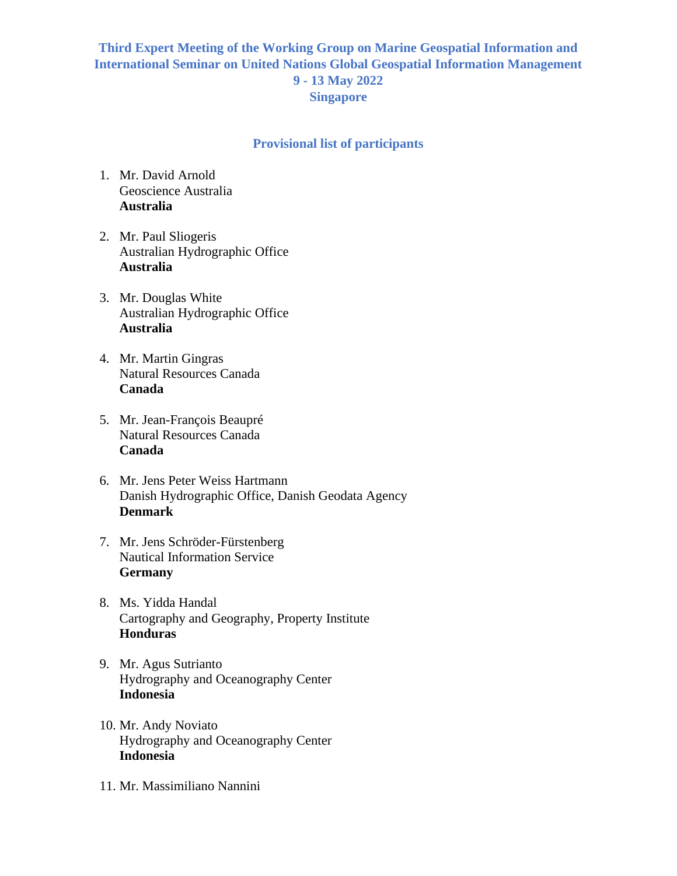## **Third Expert Meeting of the Working Group on Marine Geospatial Information and International Seminar on United Nations Global Geospatial Information Management 9 - 13 May 2022 Singapore**

## **Provisional list of participants**

- 1. Mr. David Arnold Geoscience Australia **Australia**
- 2. Mr. Paul Sliogeris Australian Hydrographic Office **Australia**
- 3. Mr. Douglas White Australian Hydrographic Office **Australia**
- 4. Mr. Martin Gingras Natural Resources Canada **Canada**
- 5. Mr. Jean-François Beaupré Natural Resources Canada **Canada**
- 6. Mr. Jens Peter Weiss Hartmann Danish Hydrographic Office, Danish Geodata Agency **Denmark**
- 7. Mr. Jens Schröder-Fürstenberg Nautical Information Service **Germany**
- 8. Ms. Yidda Handal Cartography and Geography, Property Institute **Honduras**
- 9. Mr. Agus Sutrianto Hydrography and Oceanography Center **Indonesia**
- 10. Mr. Andy Noviato Hydrography and Oceanography Center **Indonesia**
- 11. Mr. Massimiliano Nannini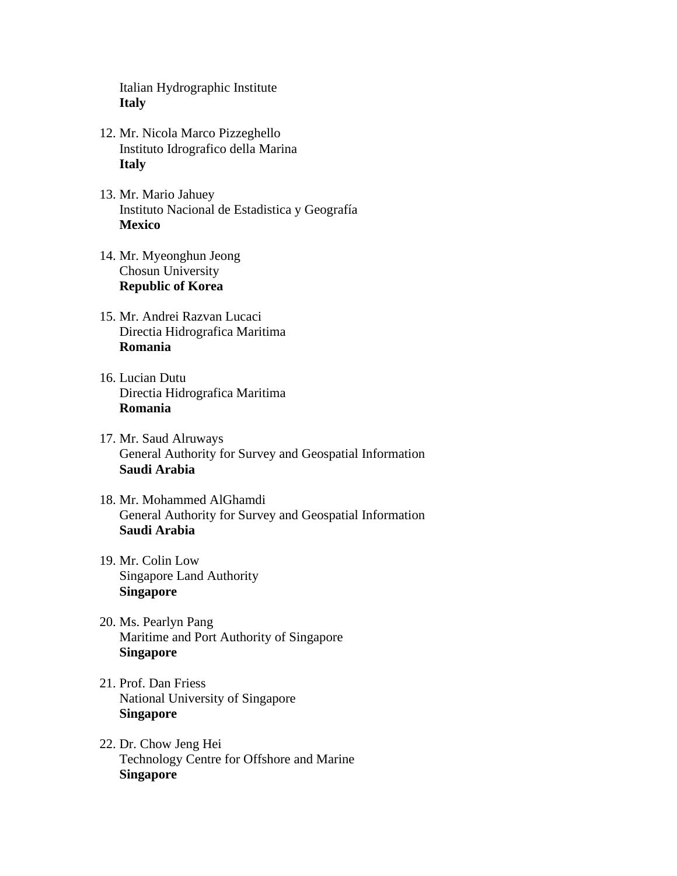Italian Hydrographic Institute **Italy**

- 12. Mr. Nicola Marco Pizzeghello Instituto Idrografico della Marina **Italy**
- 13. Mr. Mario Jahuey Instituto Nacional de Estadistica y Geografía **Mexico**
- 14. Mr. Myeonghun Jeong Chosun University **Republic of Korea**
- 15. Mr. Andrei Razvan Lucaci Directia Hidrografica Maritima **Romania**
- 16. Lucian Dutu Directia Hidrografica Maritima **Romania**
- 17. Mr. Saud Alruways General Authority for Survey and Geospatial Information **Saudi Arabia**
- 18. Mr. Mohammed AlGhamdi General Authority for Survey and Geospatial Information **Saudi Arabia**
- 19. Mr. Colin Low Singapore Land Authority **Singapore**
- 20. Ms. Pearlyn Pang Maritime and Port Authority of Singapore **Singapore**
- 21. Prof. Dan Friess National University of Singapore **Singapore**
- 22. Dr. Chow Jeng Hei Technology Centre for Offshore and Marine **Singapore**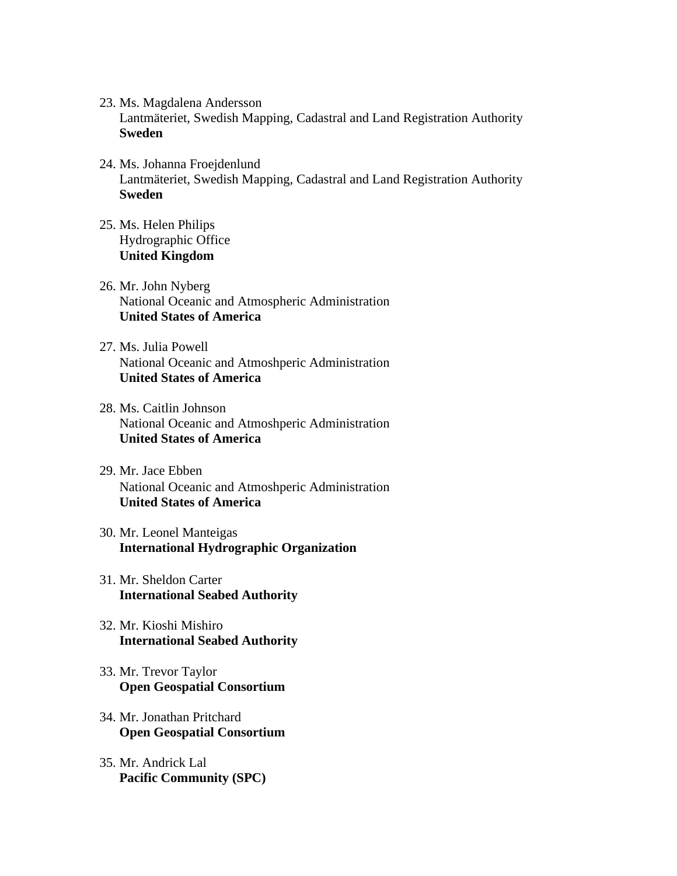23. Ms. Magdalena Andersson

Lantmäteriet, Swedish Mapping, Cadastral and Land Registration Authority **Sweden**

- 24. Ms. Johanna Froejdenlund Lantmäteriet, Swedish Mapping, Cadastral and Land Registration Authority **Sweden**
- 25. Ms. Helen Philips Hydrographic Office **United Kingdom**
- 26. Mr. John Nyberg National Oceanic and Atmospheric Administration **United States of America**
- 27. Ms. Julia Powell National Oceanic and Atmoshperic Administration **United States of America**
- 28. Ms. Caitlin Johnson National Oceanic and Atmoshperic Administration **United States of America**
- 29. Mr. Jace Ebben National Oceanic and Atmoshperic Administration **United States of America**
- 30. Mr. Leonel Manteigas **International Hydrographic Organization**
- 31. Mr. Sheldon Carter **International Seabed Authority**
- 32. Mr. Kioshi Mishiro **International Seabed Authority**
- 33. Mr. Trevor Taylor **Open Geospatial Consortium**
- 34. Mr. Jonathan Pritchard **Open Geospatial Consortium**
- 35. Mr. Andrick Lal **Pacific Community (SPC)**